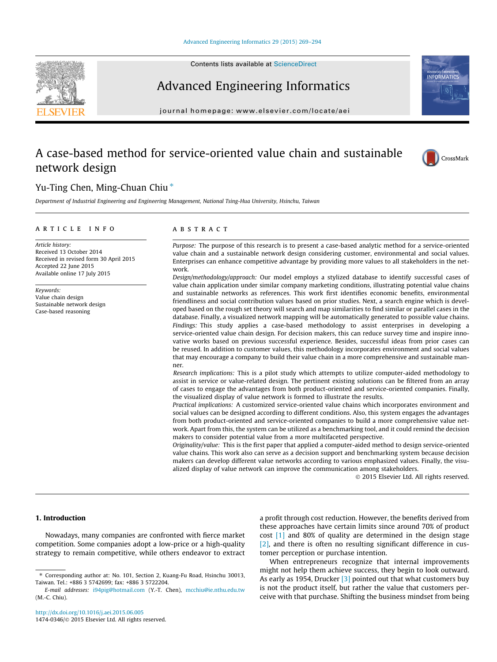Contents lists available at [ScienceDirect](http://www.sciencedirect.com/science/journal/14740346)

# Advanced Engineering Informatics

journal homepage: [www.elsevier.com/locate/aei](http://www.elsevier.com/locate/aei)

# A case-based method for service-oriented value chain and sustainable network design



Department of Industrial Engineering and Engineering Management, National Tsing-Hua University, Hsinchu, Taiwan

### article info

Article history: Received 13 October 2014 Received in revised form 30 April 2015 Accepted 22 June 2015 Available online 17 July 2015

Keywords: Value chain design Sustainable network design Case-based reasoning

## ABSTRACT

Purpose: The purpose of this research is to present a case-based analytic method for a service-oriented value chain and a sustainable network design considering customer, environmental and social values. Enterprises can enhance competitive advantage by providing more values to all stakeholders in the network.

Design/methodology/approach: Our model employs a stylized database to identify successful cases of value chain application under similar company marketing conditions, illustrating potential value chains and sustainable networks as references. This work first identifies economic benefits, environmental friendliness and social contribution values based on prior studies. Next, a search engine which is developed based on the rough set theory will search and map similarities to find similar or parallel cases in the database. Finally, a visualized network mapping will be automatically generated to possible value chains. Findings: This study applies a case-based methodology to assist enterprises in developing a service-oriented value chain design. For decision makers, this can reduce survey time and inspire innovative works based on previous successful experience. Besides, successful ideas from prior cases can be reused. In addition to customer values, this methodology incorporates environment and social values that may encourage a company to build their value chain in a more comprehensive and sustainable manner.

Research implications: This is a pilot study which attempts to utilize computer-aided methodology to assist in service or value-related design. The pertinent existing solutions can be filtered from an array of cases to engage the advantages from both product-oriented and service-oriented companies. Finally, the visualized display of value network is formed to illustrate the results.

Practical implications: A customized service-oriented value chains which incorporates environment and social values can be designed according to different conditions. Also, this system engages the advantages from both product-oriented and service-oriented companies to build a more comprehensive value network. Apart from this, the system can be utilized as a benchmarking tool, and it could remind the decision makers to consider potential value from a more multifaceted perspective.

Originality/value: This is the first paper that applied a computer-aided method to design service-oriented value chains. This work also can serve as a decision support and benchmarking system because decision makers can develop different value networks according to various emphasized values. Finally, the visualized display of value network can improve the communication among stakeholders.

- 2015 Elsevier Ltd. All rights reserved.

# 1. Introduction

Nowadays, many companies are confronted with fierce market competition. Some companies adopt a low-price or a high-quality strategy to remain competitive, while others endeavor to extract

a profit through cost reduction. However, the benefits derived from these approaches have certain limits since around 70% of product cost [\[1\]](#page--1-0) and 80% of quality are determined in the design stage [\[2\]](#page--1-0), and there is often no resulting significant difference in customer perception or purchase intention.

When entrepreneurs recognize that internal improvements might not help them achieve success, they begin to look outward. As early as 1954, Drucker [\[3\]](#page--1-0) pointed out that what customers buy is not the product itself, but rather the value that customers perceive with that purchase. Shifting the business mindset from being







<sup>⇑</sup> Corresponding author at: No. 101, Section 2, Kuang-Fu Road, Hsinchu 30013, Taiwan. Tel.: +886 3 5742699; fax: +886 3 5722204.

E-mail addresses: [i94pig@hotmail.com](mailto:i94pig@hotmail.com) (Y.-T. Chen), [mcchiu@ie.nthu.edu.tw](mailto:mcchiu@ie.nthu.edu.tw                    ) (M.-C. Chiu).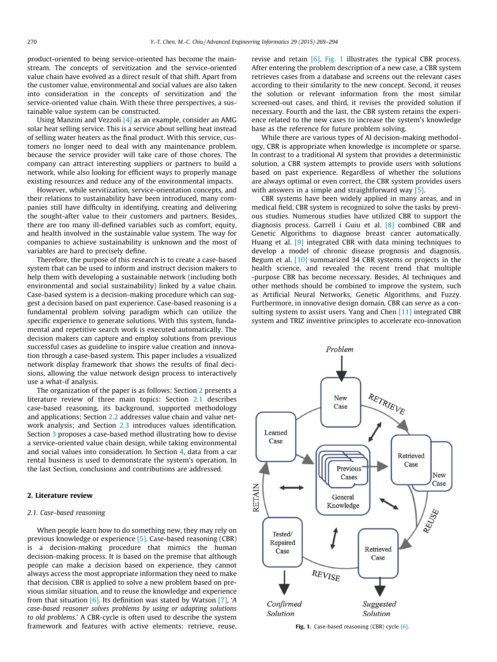product-oriented to being service-oriented has become the mainstream. The concepts of servitization and the service-oriented value chain have evolved as a direct result of that shift. Apart from the customer value, environmental and social values are also taken into consideration in the concepts of servitization and the service-oriented value chain. With these three perspectives, a sustainable value system can be constructed.

Using Manzini and Vezzoli [\[4\]](#page--1-0) as an example, consider an AMG solar heat selling service. This is a service about selling heat instead of selling water heaters as the final product. With this service, customers no longer need to deal with any maintenance problem, because the service provider will take care of those chores. The company can attract interesting suppliers or partners to build a network, while also looking for efficient ways to properly manage existing resources and reduce any of the environmental impacts.

However, while servitization, service-orientation concepts, and their relations to sustainability have been introduced, many companies still have difficulty in identifying, creating and delivering the sought-after value to their customers and partners. Besides, there are too many ill-defined variables such as comfort, equity, and health involved in the sustainable value system. The way for companies to achieve sustainability is unknown and the most of variables are hard to precisely define.

Therefore, the purpose of this research is to create a case-based system that can be used to inform and instruct decision makers to help them with developing a sustainable network (including both environmental and social sustainability) linked by a value chain. Case-based system is a decision-making procedure which can suggest a decision based on past experience. Case-based reasoning is a fundamental problem solving paradigm which can utilize the specific experience to generate solutions. With this system, fundamental and repetitive search work is executed automatically. The decision makers can capture and employ solutions from previous successful cases as guideline to inspire value creation and innovation through a case-based system. This paper includes a visualized network display framework that shows the results of final decisions, allowing the value network design process to interactively use a what-if analysis.

The organization of the paper is as follows: Section 2 presents a literature review of three main topics: Section 2.1 describes case-based reasoning, its background, supported methodology and applications; Section [2.2](#page--1-0) addresses value chain and value network analysis; and Section [2.3](#page--1-0) introduces values identification. Section [3](#page--1-0) proposes a case-based method illustrating how to devise a service-oriented value chain design, while taking environmental and social values into consideration. In Section [4](#page--1-0), data from a car rental business is used to demonstrate the system's operation. In the last Section, conclusions and contributions are addressed.

## 2. Literature review

### 2.1. Case-based reasoning

When people learn how to do something new, they may rely on previous knowledge or experience [\[5\]](#page--1-0). Case-based reasoning (CBR) is a decision-making procedure that mimics the human decision-making process. It is based on the premise that although people can make a decision based on experience, they cannot always access the most appropriate information they need to make that decision. CBR is applied to solve a new problem based on previous similar situation, and to reuse the knowledge and experience from that situation  $[6]$ . Its definition was stated by Watson  $[7]$ , 'A case-based reasoner solves problems by using or adapting solutions to old problems.' A CBR-cycle is often used to describe the system framework and features with active elements: retrieve, reuse, revise and retain [\[6\].](#page--1-0) Fig. 1 illustrates the typical CBR process. After entering the problem description of a new case, a CBR system retrieves cases from a database and screens out the relevant cases according to their similarity to the new concept. Second, it reuses the solution or relevant information from the most similar screened-out cases, and third, it revises the provided solution if necessary. Fourth and the last, the CBR system retains the experience related to the new cases to increase the system's knowledge base as the reference for future problem solving.

While there are various types of AI decision-making methodology, CBR is appropriate when knowledge is incomplete or sparse. In contrast to a traditional AI system that provides a deterministic solution, a CBR system attempts to provide users with solutions based on past experience. Regardless of whether the solutions are always optimal or even correct, the CBR system provides users with answers in a simple and straightforward way [\[5\]](#page--1-0).

CBR systems have been widely applied in many areas, and in medical field, CBR system is recognized to solve the tasks by previous studies. Numerous studies have utilized CBR to support the diagnosis process. Garrell i Guiu et al. [\[8\]](#page--1-0) combined CBR and Genetic Algorithms to diagnose breast cancer automatically. Huang et al. [\[9\]](#page--1-0) integrated CBR with data mining techniques to develop a model of chronic disease prognosis and diagnosis. Begum et al. [\[10\]](#page--1-0) summarized 34 CBR systems or projects in the health science, and revealed the recent trend that multiple -purpose CBR has become necessary. Besides, AI techniques and other methods should be combined to improve the system, such as Artificial Neural Networks, Genetic Algorithms, and Fuzzy. Furthermore, in innovative design domain, CBR can serve as a con-sulting system to assist users. Yang and Chen [\[11\]](#page--1-0) integrated CBR system and TRIZ inventive principles to accelerate eco-innovation



Fig. 1. Case-based reasoning (CBR) cycle [\[6\].](#page--1-0)